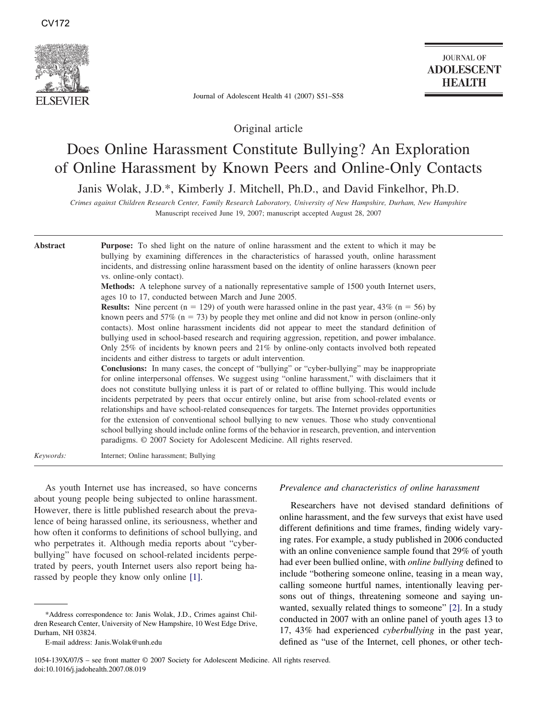

**JOURNAL OF ADOLESCENT HEALTH** 

Journal of Adolescent Health 41 (2007) S51–S58

Original article

# Does Online Harassment Constitute Bullying? An Exploration of Online Harassment by Known Peers and Online-Only Contacts

Janis Wolak, J.D.\*, Kimberly J. Mitchell, Ph.D., and David Finkelhor, Ph.D.

*Crimes against Children Research Center, Family Research Laboratory, University of New Hampshire, Durham, New Hampshire* Manuscript received June 19, 2007; manuscript accepted August 28, 2007

**Abstract Purpose:** To shed light on the nature of online harassment and the extent to which it may be bullying by examining differences in the characteristics of harassed youth, online harassment incidents, and distressing online harassment based on the identity of online harassers (known peer vs. online-only contact). **Methods:** A telephone survey of a nationally representative sample of 1500 youth Internet users, ages 10 to 17, conducted between March and June 2005. **Results:** Nine percent ( $n = 129$ ) of youth were harassed online in the past year,  $43\%$  ( $n = 56$ ) by known peers and 57% ( $n = 73$ ) by people they met online and did not know in person (online-only contacts). Most online harassment incidents did not appear to meet the standard definition of bullying used in school-based research and requiring aggression, repetition, and power imbalance. Only 25% of incidents by known peers and 21% by online-only contacts involved both repeated incidents and either distress to targets or adult intervention. **Conclusions:** In many cases, the concept of "bullying" or "cyber-bullying" may be inappropriate for online interpersonal offenses. We suggest using "online harassment," with disclaimers that it does not constitute bullying unless it is part of or related to offline bullying. This would include incidents perpetrated by peers that occur entirely online, but arise from school-related events or relationships and have school-related consequences for targets. The Internet provides opportunities for the extension of conventional school bullying to new venues. Those who study conventional school bullying should include online forms of the behavior in research, prevention, and intervention paradigms. © 2007 Society for Adolescent Medicine. All rights reserved.

*Keywords:* Internet; Online harassment; Bullying

As youth Internet use has increased, so have concerns about young people being subjected to online harassment. However, there is little published research about the prevalence of being harassed online, its seriousness, whether and how often it conforms to definitions of school bullying, and who perpetrates it. Although media reports about "cyberbullying" have focused on school-related incidents perpetrated by peers, youth Internet users also report being harassed by people they know only online [\[1\].](#page-7-0)

#### *Prevalence and characteristics of online harassment*

Researchers have not devised standard definitions of online harassment, and the few surveys that exist have used different definitions and time frames, finding widely varying rates. For example, a study published in 2006 conducted with an online convenience sample found that 29% of youth had ever been bullied online, with *online bullying* defined to include "bothering someone online, teasing in a mean way, calling someone hurtful names, intentionally leaving persons out of things, threatening someone and saying unwanted, sexually related things to someone" [\[2\].](#page-7-0) In a study conducted in 2007 with an online panel of youth ages 13 to 17, 43% had experienced *cyberbullying* in the past year, defined as "use of the Internet, cell phones, or other tech-

<sup>\*</sup>Address correspondence to: Janis Wolak, J.D., Crimes against Children Research Center, University of New Hampshire, 10 West Edge Drive, Durham, NH 03824.

E-mail address: Janis.Wolak@unh.edu

<sup>1054-139</sup>X/07/\$ – see front matter © 2007 Society for Adolescent Medicine. All rights reserved. doi:10.1016/j.jadohealth.2007.08.019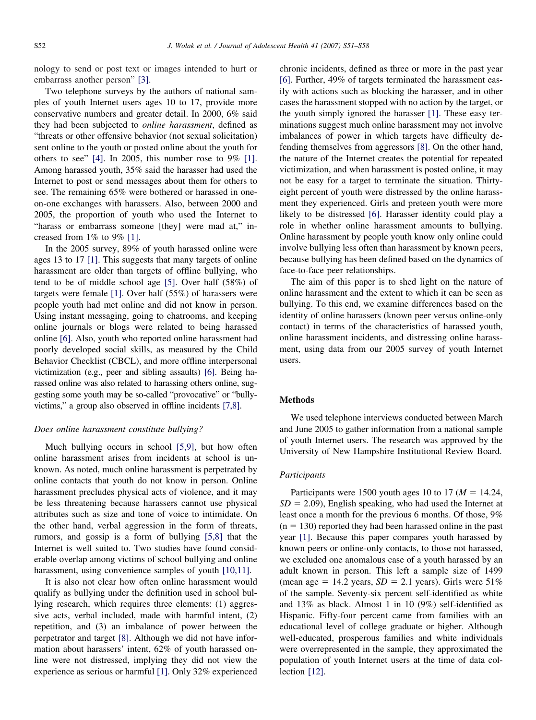nology to send or post text or images intended to hurt or embarrass another person" [\[3\].](#page-7-0)

Two telephone surveys by the authors of national samples of youth Internet users ages 10 to 17, provide more conservative numbers and greater detail. In 2000, 6% said they had been subjected to *online harassment*, defined as "threats or other offensive behavior (not sexual solicitation) sent online to the youth or posted online about the youth for others to see" [\[4\].](#page-7-0) In 2005, this number rose to 9% [\[1\].](#page-7-0) Among harassed youth, 35% said the harasser had used the Internet to post or send messages about them for others to see. The remaining 65% were bothered or harassed in oneon-one exchanges with harassers. Also, between 2000 and 2005, the proportion of youth who used the Internet to "harass or embarrass someone [they] were mad at," increased from 1% to 9% [\[1\].](#page-7-0)

In the 2005 survey, 89% of youth harassed online were ages 13 to 17 [\[1\].](#page-7-0) This suggests that many targets of online harassment are older than targets of offline bullying, who tend to be of middle school age [\[5\].](#page-7-0) Over half (58%) of targets were female [\[1\].](#page-7-0) Over half (55%) of harassers were people youth had met online and did not know in person. Using instant messaging, going to chatrooms, and keeping online journals or blogs were related to being harassed online [\[6\].](#page-7-0) Also, youth who reported online harassment had poorly developed social skills, as measured by the Child Behavior Checklist (CBCL), and more offline interpersonal victimization (e.g., peer and sibling assaults) [\[6\].](#page-7-0) Being harassed online was also related to harassing others online, suggesting some youth may be so-called "provocative" or "bullyvictims," a group also observed in offline incidents [\[7,8\].](#page-7-0)

### *Does online harassment constitute bullying?*

Much bullying occurs in school [\[5,9\],](#page-7-0) but how often online harassment arises from incidents at school is unknown. As noted, much online harassment is perpetrated by online contacts that youth do not know in person. Online harassment precludes physical acts of violence, and it may be less threatening because harassers cannot use physical attributes such as size and tone of voice to intimidate. On the other hand, verbal aggression in the form of threats, rumors, and gossip is a form of bullying [\[5,8\]](#page-7-0) that the Internet is well suited to. Two studies have found considerable overlap among victims of school bullying and online harassment, using convenience samples of youth [\[10,11\].](#page-7-0)

It is also not clear how often online harassment would qualify as bullying under the definition used in school bullying research, which requires three elements: (1) aggressive acts, verbal included, made with harmful intent, (2) repetition, and (3) an imbalance of power between the perpetrator and target [\[8\].](#page-7-0) Although we did not have information about harassers' intent, 62% of youth harassed online were not distressed, implying they did not view the experience as serious or harmful [\[1\].](#page-7-0) Only 32% experienced

chronic incidents, defined as three or more in the past year [\[6\].](#page-7-0) Further, 49% of targets terminated the harassment easily with actions such as blocking the harasser, and in other cases the harassment stopped with no action by the target, or the youth simply ignored the harasser [\[1\].](#page-7-0) These easy terminations suggest much online harassment may not involve imbalances of power in which targets have difficulty defending themselves from aggressors [\[8\].](#page-7-0) On the other hand, the nature of the Internet creates the potential for repeated victimization, and when harassment is posted online, it may not be easy for a target to terminate the situation. Thirtyeight percent of youth were distressed by the online harassment they experienced. Girls and preteen youth were more likely to be distressed [\[6\].](#page-7-0) Harasser identity could play a role in whether online harassment amounts to bullying. Online harassment by people youth know only online could involve bullying less often than harassment by known peers, because bullying has been defined based on the dynamics of face-to-face peer relationships.

The aim of this paper is to shed light on the nature of online harassment and the extent to which it can be seen as bullying. To this end, we examine differences based on the identity of online harassers (known peer versus online-only contact) in terms of the characteristics of harassed youth, online harassment incidents, and distressing online harassment, using data from our 2005 survey of youth Internet users.

#### **Methods**

We used telephone interviews conducted between March and June 2005 to gather information from a national sample of youth Internet users. The research was approved by the University of New Hampshire Institutional Review Board.

# *Participants*

Participants were 1500 youth ages 10 to 17 ( $M = 14.24$ ,  $SD = 2.09$ ), English speaking, who had used the Internet at least once a month for the previous 6 months. Of those, 9%  $(n = 130)$  reported they had been harassed online in the past year [\[1\].](#page-7-0) Because this paper compares youth harassed by known peers or online-only contacts, to those not harassed, we excluded one anomalous case of a youth harassed by an adult known in person. This left a sample size of 1499 (mean age  $= 14.2$  years,  $SD = 2.1$  years). Girls were 51% of the sample. Seventy-six percent self-identified as white and 13% as black. Almost 1 in 10 (9%) self-identified as Hispanic. Fifty-four percent came from families with an educational level of college graduate or higher. Although well-educated, prosperous families and white individuals were overrepresented in the sample, they approximated the population of youth Internet users at the time of data collection [\[12\].](#page-7-0)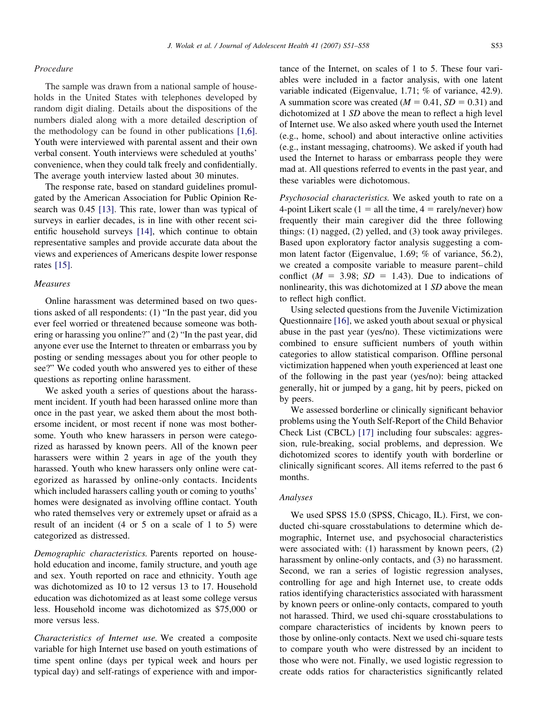# *Procedure*

The sample was drawn from a national sample of households in the United States with telephones developed by random digit dialing. Details about the dispositions of the numbers dialed along with a more detailed description of the methodology can be found in other publications [\[1,6\].](#page-7-0) Youth were interviewed with parental assent and their own verbal consent. Youth interviews were scheduled at youths' convenience, when they could talk freely and confidentially. The average youth interview lasted about 30 minutes.

The response rate, based on standard guidelines promulgated by the American Association for Public Opinion Research was 0.45 [\[13\].](#page-7-0) This rate, lower than was typical of surveys in earlier decades, is in line with other recent scientific household surveys [\[14\],](#page-7-0) which continue to obtain representative samples and provide accurate data about the views and experiences of Americans despite lower response rates [\[15\].](#page-7-0)

# *Measures*

Online harassment was determined based on two questions asked of all respondents: (1) "In the past year, did you ever feel worried or threatened because someone was bothering or harassing you online?" and (2) "In the past year, did anyone ever use the Internet to threaten or embarrass you by posting or sending messages about you for other people to see?" We coded youth who answered yes to either of these questions as reporting online harassment.

We asked youth a series of questions about the harassment incident. If youth had been harassed online more than once in the past year, we asked them about the most bothersome incident, or most recent if none was most bothersome. Youth who knew harassers in person were categorized as harassed by known peers. All of the known peer harassers were within 2 years in age of the youth they harassed. Youth who knew harassers only online were categorized as harassed by online-only contacts. Incidents which included harassers calling youth or coming to youths' homes were designated as involving offline contact. Youth who rated themselves very or extremely upset or afraid as a result of an incident (4 or 5 on a scale of 1 to 5) were categorized as distressed.

*Demographic characteristics.* Parents reported on household education and income, family structure, and youth age and sex. Youth reported on race and ethnicity. Youth age was dichotomized as 10 to 12 versus 13 to 17. Household education was dichotomized as at least some college versus less. Household income was dichotomized as \$75,000 or more versus less.

*Characteristics of Internet use.* We created a composite variable for high Internet use based on youth estimations of time spent online (days per typical week and hours per typical day) and self-ratings of experience with and impor-

tance of the Internet, on scales of 1 to 5. These four variables were included in a factor analysis, with one latent variable indicated (Eigenvalue, 1.71; % of variance, 42.9). A summation score was created  $(M = 0.41, SD = 0.31)$  and dichotomized at 1 *SD* above the mean to reflect a high level of Internet use. We also asked where youth used the Internet (e.g., home, school) and about interactive online activities (e.g., instant messaging, chatrooms). We asked if youth had used the Internet to harass or embarrass people they were mad at. All questions referred to events in the past year, and these variables were dichotomous.

*Psychosocial characteristics.* We asked youth to rate on a 4-point Likert scale (1 = all the time,  $4 = \text{rarely/never}$ ) how frequently their main caregiver did the three following things: (1) nagged, (2) yelled, and (3) took away privileges. Based upon exploratory factor analysis suggesting a common latent factor (Eigenvalue, 1.69; % of variance, 56.2), we created a composite variable to measure parent– child conflict  $(M = 3.98; SD = 1.43)$ . Due to indications of nonlinearity, this was dichotomized at 1 *SD* above the mean to reflect high conflict.

Using selected questions from the Juvenile Victimization Questionnaire [\[16\],](#page-7-0) we asked youth about sexual or physical abuse in the past year (yes/no). These victimizations were combined to ensure sufficient numbers of youth within categories to allow statistical comparison. Offline personal victimization happened when youth experienced at least one of the following in the past year (yes/no): being attacked generally, hit or jumped by a gang, hit by peers, picked on by peers.

We assessed borderline or clinically significant behavior problems using the Youth Self-Report of the Child Behavior Check List (CBCL) [\[17\]](#page-7-0) including four subscales: aggression, rule-breaking, social problems, and depression. We dichotomized scores to identify youth with borderline or clinically significant scores. All items referred to the past 6 months.

# *Analyses*

We used SPSS 15.0 (SPSS, Chicago, IL). First, we conducted chi-square crosstabulations to determine which demographic, Internet use, and psychosocial characteristics were associated with: (1) harassment by known peers, (2) harassment by online-only contacts, and (3) no harassment. Second, we ran a series of logistic regression analyses, controlling for age and high Internet use, to create odds ratios identifying characteristics associated with harassment by known peers or online-only contacts, compared to youth not harassed. Third, we used chi-square crosstabulations to compare characteristics of incidents by known peers to those by online-only contacts. Next we used chi-square tests to compare youth who were distressed by an incident to those who were not. Finally, we used logistic regression to create odds ratios for characteristics significantly related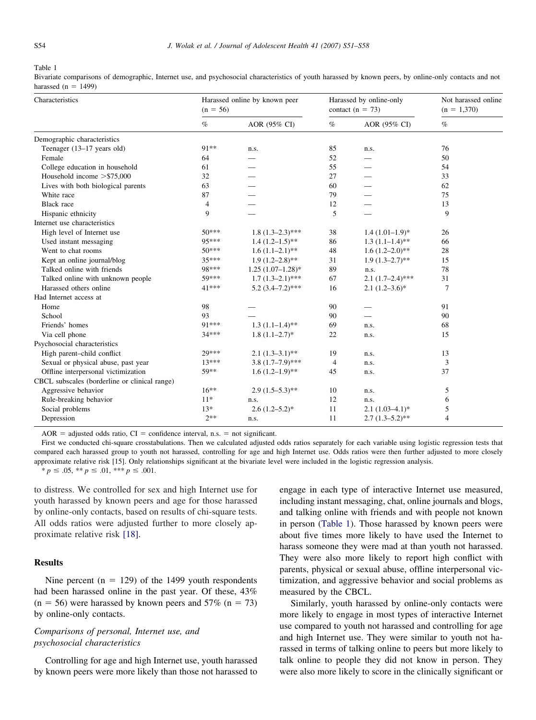Table 1

|                       |  |  |  | Bivariate comparisons of demographic, Internet use, and psychosocial characteristics of youth harassed by known peers, by online-only contacts and not |  |
|-----------------------|--|--|--|--------------------------------------------------------------------------------------------------------------------------------------------------------|--|
| harassed $(n = 1499)$ |  |  |  |                                                                                                                                                        |  |

| Characteristics                               | $(n = 56)$     | Harassed online by known peer |                | Harassed by online-only<br>contact ( $n = 73$ ) | Not harassed online<br>$(n = 1,370)$ |  |
|-----------------------------------------------|----------------|-------------------------------|----------------|-------------------------------------------------|--------------------------------------|--|
|                                               | $\%$           | AOR (95% CI)                  | $\%$           | AOR (95% CI)                                    | $\%$                                 |  |
| Demographic characteristics                   |                |                               |                |                                                 |                                      |  |
| Teenager (13-17 years old)                    | 91**           | n.s.                          | 85             | n.s.                                            | 76                                   |  |
| Female                                        | 64             |                               | 52             |                                                 | 50                                   |  |
| College education in household                | 61             |                               | 55             |                                                 | 54                                   |  |
| Household income $>$ \$75,000                 | 32             |                               | 27             |                                                 | 33                                   |  |
| Lives with both biological parents            | 63             |                               | 60             |                                                 | 62                                   |  |
| White race                                    | 87             |                               | 79             |                                                 | 75                                   |  |
| Black race                                    | $\overline{4}$ |                               | 12             |                                                 | 13                                   |  |
| Hispanic ethnicity                            | 9              |                               | 5              |                                                 | 9                                    |  |
| Internet use characteristics                  |                |                               |                |                                                 |                                      |  |
| High level of Internet use                    | $50***$        | $1.8(1.3-2.3)$ ***            | 38             | $1.4(1.01-1.9)*$                                | 26                                   |  |
| Used instant messaging                        | 95***          | $1.4(1.2-1.5)$ **             | 86             | $1.3(1.1-1.4)$ **                               | 66                                   |  |
| Went to chat rooms                            | $50***$        | $1.6(1.1-2.1)$ **             | 48             | $1.6(1.2-2.0)**$                                | 28                                   |  |
| Kept an online journal/blog                   | $35***$        | $1.9(1.2 - 2.8)$ **           | 31             | $1.9(1.3-2.7)$ **                               | 15                                   |  |
| Talked online with friends                    | 98***          | $1.25(1.07-1.28)$ *           | 89             | n.s.                                            | 78                                   |  |
| Talked online with unknown people             | 59***          | $1.7(1.3-2.1)$ ***            | 67             | $2.1(1.7-2.4)$ ***                              | 31                                   |  |
| Harassed others online                        | 41***          | $5.2(3.4 - 7.2)$ ***          | 16             | $2.1(1.2-3.6)$ *                                | 7                                    |  |
| Had Internet access at                        |                |                               |                |                                                 |                                      |  |
| Home                                          | 98             |                               | 90             |                                                 | 91                                   |  |
| School                                        | 93             |                               | 90             |                                                 | 90                                   |  |
| Friends' homes                                | 91***          | $1.3(1.1-1.4)$ **             | 69             | n.s.                                            | 68                                   |  |
| Via cell phone                                | $34***$        | $1.8(1.1-2.7)$ *              | 22             | n.s.                                            | 15                                   |  |
| Psychosocial characteristics                  |                |                               |                |                                                 |                                      |  |
| High parent-child conflict                    | 29***          | $2.1(1.3-3.1)$ **             | 19             | n.s.                                            | 13                                   |  |
| Sexual or physical abuse, past year           | $13***$        | $3.8(1.7-7.9)$ ***            | $\overline{4}$ | n.s.                                            | 3                                    |  |
| Offline interpersonal victimization           | 59**           | $1.6(1.2-1.9)$ **             | 45             | n.s.                                            | 37                                   |  |
| CBCL subscales (borderline or clinical range) |                |                               |                |                                                 |                                      |  |
| Aggressive behavior                           | $16**$         | $2.9(1.5-5.3)$ **             | 10             | n.s.                                            | 5                                    |  |
| Rule-breaking behavior                        | $11*$          | n.s.                          | 12             | n.s.                                            | 6                                    |  |
| Social problems                               | $13*$          | $2.6(1.2-5.2)$ *              | 11             | $2.1(1.03-4.1)*$                                | 5                                    |  |
| Depression                                    | $2**$          | n.s.                          | 11             | $2.7(1.3-5.2)$ **                               | 4                                    |  |

 $AOR =$  adjusted odds ratio,  $CI =$  confidence interval, n.s. = not significant.

First we conducted chi-square crosstabulations. Then we calculated adjusted odds ratios separately for each variable using logistic regression tests that compared each harassed group to youth not harassed, controlling for age and high Internet use. Odds ratios were then further adjusted to more closely approximate relative risk [15]. Only relationships significant at the bivariate level were included in the logistic regression analysis.  $p \leq .05$ , \*\*  $p \leq .01$ , \*\*\*  $p \leq .001$ .

to distress. We controlled for sex and high Internet use for youth harassed by known peers and age for those harassed by online-only contacts, based on results of chi-square tests. All odds ratios were adjusted further to more closely approximate relative risk [\[18\].](#page-7-0)

# **Results**

Nine percent ( $n = 129$ ) of the 1499 youth respondents had been harassed online in the past year. Of these, 43%  $(n = 56)$  were harassed by known peers and 57%  $(n = 73)$ by online-only contacts.

# *Comparisons of personal, Internet use, and psychosocial characteristics*

Controlling for age and high Internet use, youth harassed by known peers were more likely than those not harassed to

engage in each type of interactive Internet use measured, including instant messaging, chat, online journals and blogs, and talking online with friends and with people not known in person (Table 1). Those harassed by known peers were about five times more likely to have used the Internet to harass someone they were mad at than youth not harassed. They were also more likely to report high conflict with parents, physical or sexual abuse, offline interpersonal victimization, and aggressive behavior and social problems as measured by the CBCL.

Similarly, youth harassed by online-only contacts were more likely to engage in most types of interactive Internet use compared to youth not harassed and controlling for age and high Internet use. They were similar to youth not harassed in terms of talking online to peers but more likely to talk online to people they did not know in person. They were also more likely to score in the clinically significant or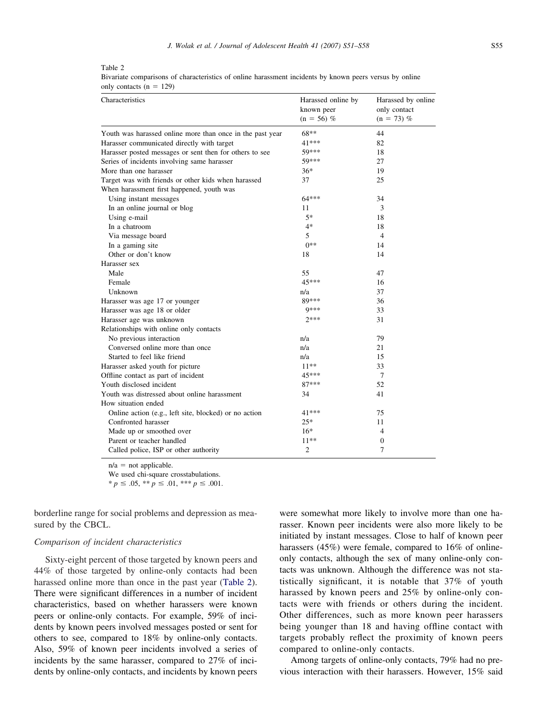Table 2

Bivariate comparisons of characteristics of online harassment incidents by known peers versus by online only contacts  $(n = 129)$ 

| Characteristics                                           | Harassed online by | Harassed by online |  |
|-----------------------------------------------------------|--------------------|--------------------|--|
|                                                           | known peer         | only contact       |  |
|                                                           | $(n = 56)$ %       | $(n = 73) \%$      |  |
| Youth was harassed online more than once in the past year | 68**               | 44                 |  |
| Harasser communicated directly with target                | $41***$            | 82                 |  |
| Harasser posted messages or sent then for others to see   | 59***              | 18                 |  |
| Series of incidents involving same harasser               | 59***              | 27                 |  |
| More than one harasser                                    | $36*$              | 19                 |  |
| Target was with friends or other kids when harassed       | 37                 | 25                 |  |
| When harassment first happened, youth was                 |                    |                    |  |
| Using instant messages                                    | $64***$            | 34                 |  |
| In an online journal or blog                              | 11                 | 3                  |  |
| Using e-mail                                              | $5*$               | 18                 |  |
| In a chatroom                                             | 4*                 | 18                 |  |
| Via message board                                         | 5                  | $\overline{4}$     |  |
| In a gaming site                                          | $0**$              | 14                 |  |
| Other or don't know                                       | 18                 | 14                 |  |
| Harasser sex                                              |                    |                    |  |
| Male                                                      | 55                 | 47                 |  |
| Female                                                    | 45***              | 16                 |  |
| Unknown                                                   | n/a                | 37                 |  |
| Harasser was age 17 or younger                            | 89***              | 36                 |  |
| Harasser was age 18 or older                              | Q***               | 33                 |  |
| Harasser age was unknown                                  | 2***               | 31                 |  |
| Relationships with online only contacts                   |                    |                    |  |
| No previous interaction                                   | n/a                | 79                 |  |
| Conversed online more than once                           | n/a                | 21                 |  |
| Started to feel like friend                               | n/a                | 15                 |  |
| Harasser asked youth for picture                          | $11***$            | 33                 |  |
| Offline contact as part of incident                       | 45***              | 7                  |  |
| Youth disclosed incident                                  | 87***              | 52                 |  |
| Youth was distressed about online harassment              | 34                 | 41                 |  |
| How situation ended                                       |                    |                    |  |
| Online action (e.g., left site, blocked) or no action     | 41***              | 75                 |  |
| Confronted harasser                                       | $25*$              | 11                 |  |
| Made up or smoothed over                                  | $16*$              | 4                  |  |
| Parent or teacher handled                                 | $11**$             | $\mathbf{0}$       |  |
| Called police, ISP or other authority                     | $\sqrt{2}$         | 7                  |  |

 $n/a = not$  applicable.

We used chi-square crosstabulations.

 $* p \leq .05, ** p \leq .01, ** p \leq .001.$ 

borderline range for social problems and depression as measured by the CBCL.

#### *Comparison of incident characteristics*

Sixty-eight percent of those targeted by known peers and 44% of those targeted by online-only contacts had been harassed online more than once in the past year (Table 2). There were significant differences in a number of incident characteristics, based on whether harassers were known peers or online-only contacts. For example, 59% of incidents by known peers involved messages posted or sent for others to see, compared to 18% by online-only contacts. Also, 59% of known peer incidents involved a series of incidents by the same harasser, compared to 27% of incidents by online-only contacts, and incidents by known peers

were somewhat more likely to involve more than one harasser. Known peer incidents were also more likely to be initiated by instant messages. Close to half of known peer harassers (45%) were female, compared to 16% of onlineonly contacts, although the sex of many online-only contacts was unknown. Although the difference was not statistically significant, it is notable that 37% of youth harassed by known peers and 25% by online-only contacts were with friends or others during the incident. Other differences, such as more known peer harassers being younger than 18 and having offline contact with targets probably reflect the proximity of known peers compared to online-only contacts.

Among targets of online-only contacts, 79% had no previous interaction with their harassers. However, 15% said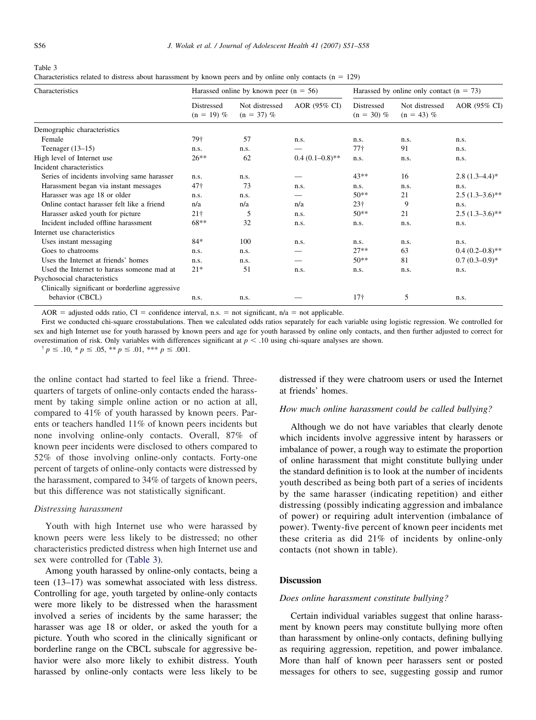Table 3

Characteristics related to distress about harassment by known peers and by online only contacts  $(n = 129)$ 

| Characteristics                                 |                             | Harassed online by known peer $(n = 56)$ |                   | Harassed by online only contact $(n = 73)$ |                                |                   |
|-------------------------------------------------|-----------------------------|------------------------------------------|-------------------|--------------------------------------------|--------------------------------|-------------------|
|                                                 | Distressed<br>$(n = 19) \%$ | Not distressed<br>$(n = 37)$ %           | AOR (95% CI)      | Distressed<br>$(n = 30) \%$                | Not distressed<br>$(n = 43)$ % | AOR (95% CI)      |
| Demographic characteristics                     |                             |                                          |                   |                                            |                                |                   |
| Female                                          | 79†                         | 57                                       | n.s.              | n.s.                                       | n.s.                           | n.s.              |
| Teenager $(13-15)$                              | n.s.                        | n.s.                                     |                   | $77+$                                      | 91                             | n.s.              |
| High level of Internet use                      | $26**$                      | 62                                       | $0.4(0.1-0.8)$ ** | n.s.                                       | n.s.                           | n.s.              |
| Incident characteristics                        |                             |                                          |                   |                                            |                                |                   |
| Series of incidents involving same harasser     | n.s.                        | n.s.                                     |                   | $43**$                                     | 16                             | $2.8(1.3-4.4)*$   |
| Harassment began via instant messages           | 47†                         | 73                                       | n.s.              | n.s.                                       | n.s.                           | n.s.              |
| Harasser was age 18 or older                    | n.s.                        | n.s.                                     |                   | $50**$                                     | 21                             | $2.5(1.3-3.6)$ ** |
| Online contact harasser felt like a friend      | n/a                         | n/a                                      | n/a               | 23 <sup>†</sup>                            | 9                              | n.s.              |
| Harasser asked youth for picture                | 21 <sup>†</sup>             | 5                                        | n.s.              | $50**$                                     | 21                             | $2.5(1.3-3.6)$ ** |
| Incident included offline harassment            | 68**                        | 32                                       | n.s.              | n.s.                                       | n.s.                           | n.s.              |
| Internet use characteristics                    |                             |                                          |                   |                                            |                                |                   |
| Uses instant messaging                          | $84*$                       | 100                                      | n.s.              | n.s.                                       | n.s.                           | n.s.              |
| Goes to chatrooms                               | n.s.                        | n.s.                                     |                   | $27**$                                     | 63                             | $0.4(0.2-0.8)$ ** |
| Uses the Internet at friends' homes             | n.s.                        | n.s.                                     |                   | $50**$                                     | 81                             | $0.7(0.3-0.9)$ *  |
| Used the Internet to harass someone mad at      | $21*$                       | 51                                       | n.s.              | n.s.                                       | n.s.                           | n.s.              |
| Psychosocial characteristics                    |                             |                                          |                   |                                            |                                |                   |
| Clinically significant or borderline aggressive |                             |                                          |                   |                                            |                                |                   |
| behavior (CBCL)                                 | n.s.                        | n.s.                                     |                   | 17 <sup>†</sup>                            | 5                              | n.s.              |

AOR = adjusted odds ratio, CI = confidence interval, n.s. = not significant,  $n/a$  = not applicable.

First we conducted chi-square crosstabulations. Then we calculated odds ratios separately for each variable using logistic regression. We controlled for sex and high Internet use for youth harassed by known peers and age for youth harassed by online only contacts, and then further adjusted to correct for overestimation of risk. Only variables with differences significant at  $p < .10$  using chi-square analyses are shown.

 $\frac{p}{p} \leq 0.10, \frac{p}{p} \leq 0.05, \frac{p}{p} \leq 0.01, \frac{p}{p} \leq 0.001.$ 

the online contact had started to feel like a friend. Threequarters of targets of online-only contacts ended the harassment by taking simple online action or no action at all, compared to 41% of youth harassed by known peers. Parents or teachers handled 11% of known peers incidents but none involving online-only contacts. Overall, 87% of known peer incidents were disclosed to others compared to 52% of those involving online-only contacts. Forty-one percent of targets of online-only contacts were distressed by the harassment, compared to 34% of targets of known peers, but this difference was not statistically significant.

# *Distressing harassment*

Youth with high Internet use who were harassed by known peers were less likely to be distressed; no other characteristics predicted distress when high Internet use and sex were controlled for (Table 3).

Among youth harassed by online-only contacts, being a teen (13–17) was somewhat associated with less distress. Controlling for age, youth targeted by online-only contacts were more likely to be distressed when the harassment involved a series of incidents by the same harasser; the harasser was age 18 or older, or asked the youth for a picture. Youth who scored in the clinically significant or borderline range on the CBCL subscale for aggressive behavior were also more likely to exhibit distress. Youth harassed by online-only contacts were less likely to be

distressed if they were chatroom users or used the Internet at friends' homes.

#### *How much online harassment could be called bullying?*

Although we do not have variables that clearly denote which incidents involve aggressive intent by harassers or imbalance of power, a rough way to estimate the proportion of online harassment that might constitute bullying under the standard definition is to look at the number of incidents youth described as being both part of a series of incidents by the same harasser (indicating repetition) and either distressing (possibly indicating aggression and imbalance of power) or requiring adult intervention (imbalance of power). Twenty-five percent of known peer incidents met these criteria as did 21% of incidents by online-only contacts (not shown in table).

## **Discussion**

#### *Does online harassment constitute bullying?*

Certain individual variables suggest that online harassment by known peers may constitute bullying more often than harassment by online-only contacts, defining bullying as requiring aggression, repetition, and power imbalance. More than half of known peer harassers sent or posted messages for others to see, suggesting gossip and rumor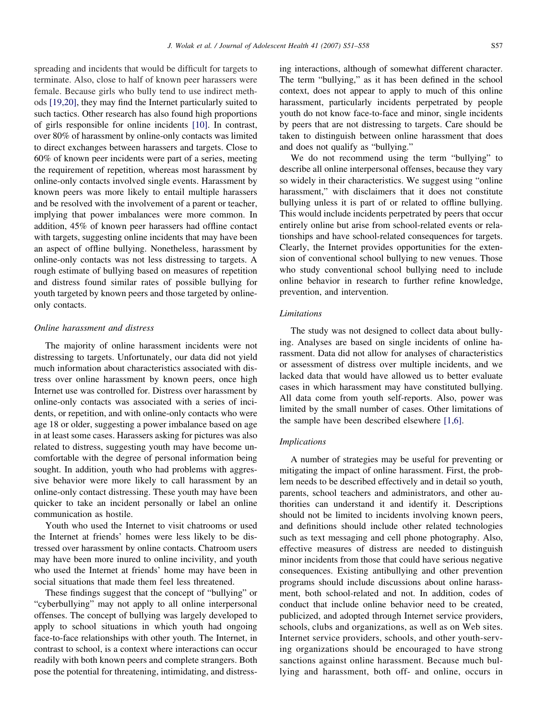spreading and incidents that would be difficult for targets to terminate. Also, close to half of known peer harassers were female. Because girls who bully tend to use indirect methods [\[19,20\],](#page-7-0) they may find the Internet particularly suited to such tactics. Other research has also found high proportions of girls responsible for online incidents [\[10\].](#page-7-0) In contrast, over 80% of harassment by online-only contacts was limited to direct exchanges between harassers and targets. Close to 60% of known peer incidents were part of a series, meeting the requirement of repetition, whereas most harassment by online-only contacts involved single events. Harassment by known peers was more likely to entail multiple harassers and be resolved with the involvement of a parent or teacher, implying that power imbalances were more common. In addition, 45% of known peer harassers had offline contact with targets, suggesting online incidents that may have been an aspect of offline bullying. Nonetheless, harassment by online-only contacts was not less distressing to targets. A rough estimate of bullying based on measures of repetition and distress found similar rates of possible bullying for youth targeted by known peers and those targeted by onlineonly contacts.

#### *Online harassment and distress*

The majority of online harassment incidents were not distressing to targets. Unfortunately, our data did not yield much information about characteristics associated with distress over online harassment by known peers, once high Internet use was controlled for. Distress over harassment by online-only contacts was associated with a series of incidents, or repetition, and with online-only contacts who were age 18 or older, suggesting a power imbalance based on age in at least some cases. Harassers asking for pictures was also related to distress, suggesting youth may have become uncomfortable with the degree of personal information being sought. In addition, youth who had problems with aggressive behavior were more likely to call harassment by an online-only contact distressing. These youth may have been quicker to take an incident personally or label an online communication as hostile.

Youth who used the Internet to visit chatrooms or used the Internet at friends' homes were less likely to be distressed over harassment by online contacts. Chatroom users may have been more inured to online incivility, and youth who used the Internet at friends' home may have been in social situations that made them feel less threatened.

These findings suggest that the concept of "bullying" or "cyberbullying" may not apply to all online interpersonal offenses. The concept of bullying was largely developed to apply to school situations in which youth had ongoing face-to-face relationships with other youth. The Internet, in contrast to school, is a context where interactions can occur readily with both known peers and complete strangers. Both pose the potential for threatening, intimidating, and distress-

ing interactions, although of somewhat different character. The term "bullying," as it has been defined in the school context, does not appear to apply to much of this online harassment, particularly incidents perpetrated by people youth do not know face-to-face and minor, single incidents by peers that are not distressing to targets. Care should be taken to distinguish between online harassment that does and does not qualify as "bullying."

We do not recommend using the term "bullying" to describe all online interpersonal offenses, because they vary so widely in their characteristics. We suggest using "online harassment," with disclaimers that it does not constitute bullying unless it is part of or related to offline bullying. This would include incidents perpetrated by peers that occur entirely online but arise from school-related events or relationships and have school-related consequences for targets. Clearly, the Internet provides opportunities for the extension of conventional school bullying to new venues. Those who study conventional school bullying need to include online behavior in research to further refine knowledge, prevention, and intervention.

# *Limitations*

The study was not designed to collect data about bullying. Analyses are based on single incidents of online harassment. Data did not allow for analyses of characteristics or assessment of distress over multiple incidents, and we lacked data that would have allowed us to better evaluate cases in which harassment may have constituted bullying. All data come from youth self-reports. Also, power was limited by the small number of cases. Other limitations of the sample have been described elsewhere [\[1,6\].](#page-7-0)

# *Implications*

A number of strategies may be useful for preventing or mitigating the impact of online harassment. First, the problem needs to be described effectively and in detail so youth, parents, school teachers and administrators, and other authorities can understand it and identify it. Descriptions should not be limited to incidents involving known peers, and definitions should include other related technologies such as text messaging and cell phone photography. Also, effective measures of distress are needed to distinguish minor incidents from those that could have serious negative consequences. Existing antibullying and other prevention programs should include discussions about online harassment, both school-related and not. In addition, codes of conduct that include online behavior need to be created, publicized, and adopted through Internet service providers, schools, clubs and organizations, as well as on Web sites. Internet service providers, schools, and other youth-serving organizations should be encouraged to have strong sanctions against online harassment. Because much bullying and harassment, both off- and online, occurs in